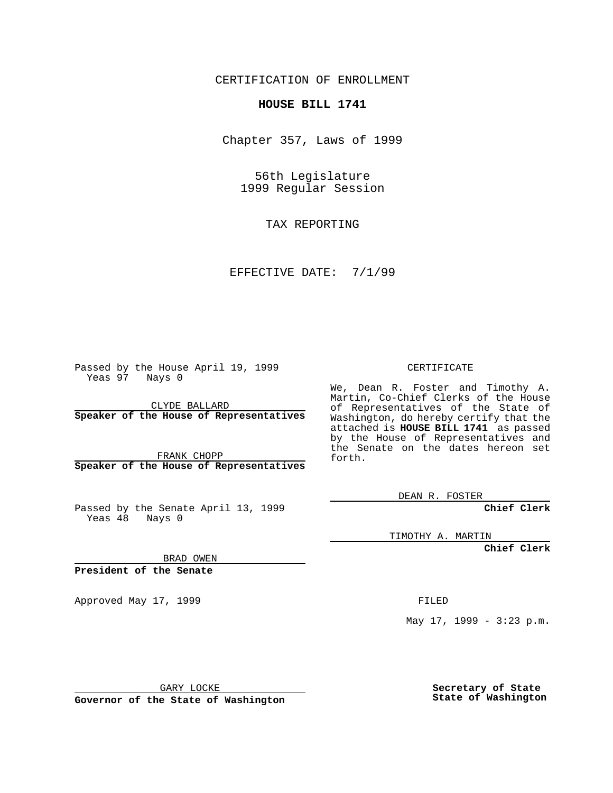CERTIFICATION OF ENROLLMENT

## **HOUSE BILL 1741**

Chapter 357, Laws of 1999

56th Legislature 1999 Regular Session

TAX REPORTING

EFFECTIVE DATE: 7/1/99

Passed by the House April 19, 1999 Yeas 97 Nays 0

CLYDE BALLARD **Speaker of the House of Representatives**

FRANK CHOPP **Speaker of the House of Representatives**

Passed by the Senate April 13, 1999 Yeas 48 Nays 0

CERTIFICATE

We, Dean R. Foster and Timothy A. Martin, Co-Chief Clerks of the House of Representatives of the State of Washington, do hereby certify that the attached is **HOUSE BILL 1741** as passed by the House of Representatives and the Senate on the dates hereon set forth.

DEAN R. FOSTER

**Chief Clerk**

TIMOTHY A. MARTIN

**Chief Clerk**

BRAD OWEN

**President of the Senate**

Approved May 17, 1999 **FILED** 

May 17, 1999 - 3:23 p.m.

GARY LOCKE

**Governor of the State of Washington**

**Secretary of State State of Washington**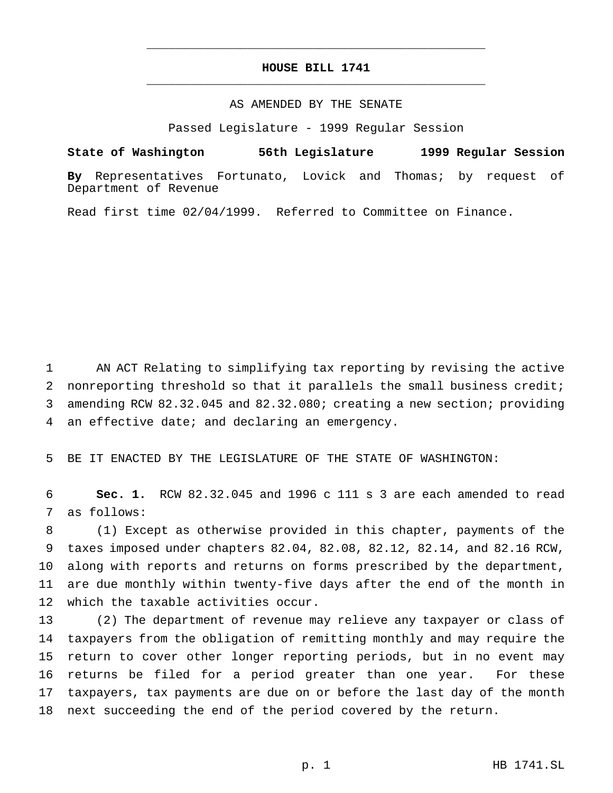## **HOUSE BILL 1741** \_\_\_\_\_\_\_\_\_\_\_\_\_\_\_\_\_\_\_\_\_\_\_\_\_\_\_\_\_\_\_\_\_\_\_\_\_\_\_\_\_\_\_\_\_\_\_

\_\_\_\_\_\_\_\_\_\_\_\_\_\_\_\_\_\_\_\_\_\_\_\_\_\_\_\_\_\_\_\_\_\_\_\_\_\_\_\_\_\_\_\_\_\_\_

## AS AMENDED BY THE SENATE

Passed Legislature - 1999 Regular Session

**State of Washington 56th Legislature 1999 Regular Session**

**By** Representatives Fortunato, Lovick and Thomas; by request of Department of Revenue

Read first time 02/04/1999. Referred to Committee on Finance.

 AN ACT Relating to simplifying tax reporting by revising the active nonreporting threshold so that it parallels the small business credit; amending RCW 82.32.045 and 82.32.080; creating a new section; providing an effective date; and declaring an emergency.

BE IT ENACTED BY THE LEGISLATURE OF THE STATE OF WASHINGTON:

 **Sec. 1.** RCW 82.32.045 and 1996 c 111 s 3 are each amended to read as follows:

 (1) Except as otherwise provided in this chapter, payments of the taxes imposed under chapters 82.04, 82.08, 82.12, 82.14, and 82.16 RCW, along with reports and returns on forms prescribed by the department, are due monthly within twenty-five days after the end of the month in which the taxable activities occur.

 (2) The department of revenue may relieve any taxpayer or class of taxpayers from the obligation of remitting monthly and may require the return to cover other longer reporting periods, but in no event may returns be filed for a period greater than one year. For these taxpayers, tax payments are due on or before the last day of the month next succeeding the end of the period covered by the return.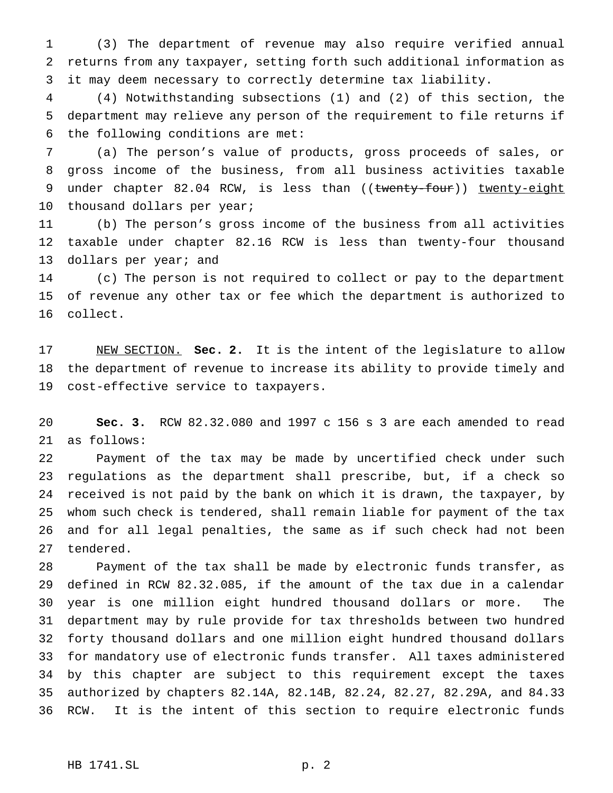(3) The department of revenue may also require verified annual returns from any taxpayer, setting forth such additional information as it may deem necessary to correctly determine tax liability.

 (4) Notwithstanding subsections (1) and (2) of this section, the department may relieve any person of the requirement to file returns if the following conditions are met:

 (a) The person's value of products, gross proceeds of sales, or gross income of the business, from all business activities taxable 9 under chapter 82.04 RCW, is less than ((twenty-four)) twenty-eight 10 thousand dollars per year;

 (b) The person's gross income of the business from all activities taxable under chapter 82.16 RCW is less than twenty-four thousand 13 dollars per year; and

 (c) The person is not required to collect or pay to the department of revenue any other tax or fee which the department is authorized to collect.

 NEW SECTION. **Sec. 2.** It is the intent of the legislature to allow the department of revenue to increase its ability to provide timely and cost-effective service to taxpayers.

 **Sec. 3.** RCW 82.32.080 and 1997 c 156 s 3 are each amended to read as follows:

 Payment of the tax may be made by uncertified check under such regulations as the department shall prescribe, but, if a check so received is not paid by the bank on which it is drawn, the taxpayer, by whom such check is tendered, shall remain liable for payment of the tax and for all legal penalties, the same as if such check had not been tendered.

 Payment of the tax shall be made by electronic funds transfer, as defined in RCW 82.32.085, if the amount of the tax due in a calendar year is one million eight hundred thousand dollars or more. The department may by rule provide for tax thresholds between two hundred forty thousand dollars and one million eight hundred thousand dollars for mandatory use of electronic funds transfer. All taxes administered by this chapter are subject to this requirement except the taxes authorized by chapters 82.14A, 82.14B, 82.24, 82.27, 82.29A, and 84.33 RCW. It is the intent of this section to require electronic funds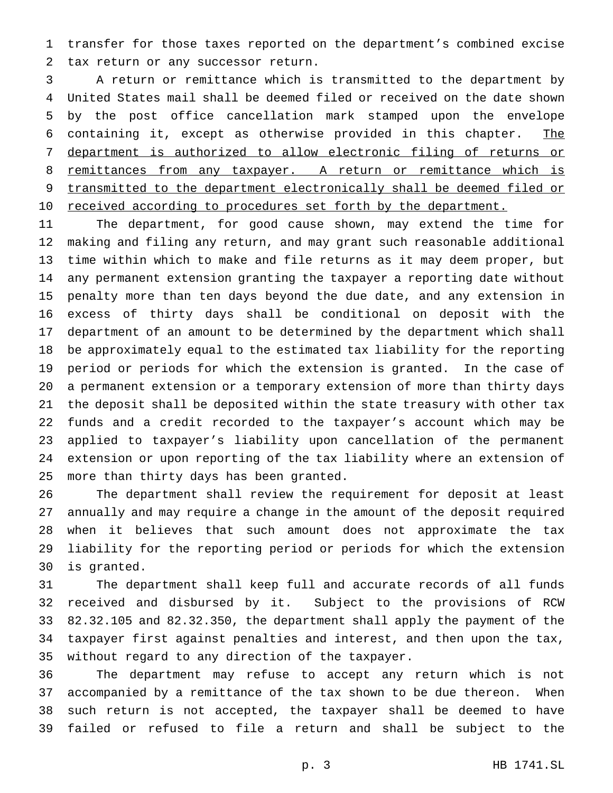transfer for those taxes reported on the department's combined excise tax return or any successor return.

 A return or remittance which is transmitted to the department by United States mail shall be deemed filed or received on the date shown by the post office cancellation mark stamped upon the envelope containing it, except as otherwise provided in this chapter. The department is authorized to allow electronic filing of returns or 8 remittances from any taxpayer. A return or remittance which is 9 transmitted to the department electronically shall be deemed filed or 10 received according to procedures set forth by the department.

 The department, for good cause shown, may extend the time for making and filing any return, and may grant such reasonable additional time within which to make and file returns as it may deem proper, but any permanent extension granting the taxpayer a reporting date without penalty more than ten days beyond the due date, and any extension in excess of thirty days shall be conditional on deposit with the department of an amount to be determined by the department which shall be approximately equal to the estimated tax liability for the reporting period or periods for which the extension is granted. In the case of a permanent extension or a temporary extension of more than thirty days the deposit shall be deposited within the state treasury with other tax funds and a credit recorded to the taxpayer's account which may be applied to taxpayer's liability upon cancellation of the permanent extension or upon reporting of the tax liability where an extension of more than thirty days has been granted.

 The department shall review the requirement for deposit at least annually and may require a change in the amount of the deposit required when it believes that such amount does not approximate the tax liability for the reporting period or periods for which the extension is granted.

 The department shall keep full and accurate records of all funds received and disbursed by it. Subject to the provisions of RCW 82.32.105 and 82.32.350, the department shall apply the payment of the taxpayer first against penalties and interest, and then upon the tax, without regard to any direction of the taxpayer.

 The department may refuse to accept any return which is not accompanied by a remittance of the tax shown to be due thereon. When such return is not accepted, the taxpayer shall be deemed to have failed or refused to file a return and shall be subject to the